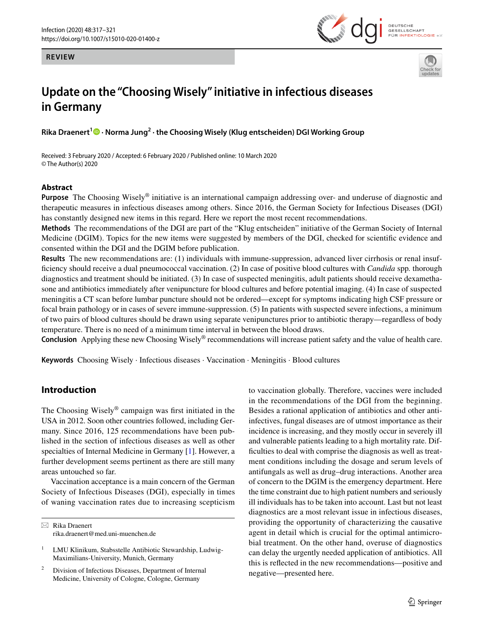**REVIEW**





# **Update on the "Choosing Wisely" initiative in infectious diseases in Germany**

**Rika Draenert1 · Norma Jung2 · the Choosing Wisely (Klug entscheiden) DGI Working Group**

Received: 3 February 2020 / Accepted: 6 February 2020 / Published online: 10 March 2020 © The Author(s) 2020

### **Abstract**

**Purpose** The Choosing Wisely® initiative is an international campaign addressing over- and underuse of diagnostic and therapeutic measures in infectious diseases among others. Since 2016, the German Society for Infectious Diseases (DGI) has constantly designed new items in this regard. Here we report the most recent recommendations.

**Methods** The recommendations of the DGI are part of the "Klug entscheiden" initiative of the German Society of Internal Medicine (DGIM). Topics for the new items were suggested by members of the DGI, checked for scientifc evidence and consented within the DGI and the DGIM before publication.

**Results** The new recommendations are: (1) individuals with immune-suppression, advanced liver cirrhosis or renal insuffciency should receive a dual pneumococcal vaccination. (2) In case of positive blood cultures with *Candida* spp*.* thorough diagnostics and treatment should be initiated. (3) In case of suspected meningitis, adult patients should receive dexamethasone and antibiotics immediately after venipuncture for blood cultures and before potential imaging. (4) In case of suspected meningitis a CT scan before lumbar puncture should not be ordered—except for symptoms indicating high CSF pressure or focal brain pathology or in cases of severe immune-suppression. (5) In patients with suspected severe infections, a minimum of two pairs of blood cultures should be drawn using separate venipunctures prior to antibiotic therapy—regardless of body temperature. There is no need of a minimum time interval in between the blood draws.

**Conclusion** Applying these new Choosing Wisely® recommendations will increase patient safety and the value of health care.

**Keywords** Choosing Wisely · Infectious diseases · Vaccination · Meningitis · Blood cultures

## **Introduction**

The Choosing Wisely® campaign was frst initiated in the USA in 2012. Soon other countries followed, including Germany. Since 2016, 125 recommendations have been published in the section of infectious diseases as well as other specialties of Internal Medicine in Germany [\[1](#page-3-0)]. However, a further development seems pertinent as there are still many areas untouched so far.

Vaccination acceptance is a main concern of the German Society of Infectious Diseases (DGI), especially in times of waning vaccination rates due to increasing scepticism

 $\boxtimes$  Rika Draenert rika.draenert@med.uni-muenchen.de to vaccination globally. Therefore, vaccines were included in the recommendations of the DGI from the beginning. Besides a rational application of antibiotics and other antiinfectives, fungal diseases are of utmost importance as their incidence is increasing, and they mostly occur in severely ill and vulnerable patients leading to a high mortality rate. Diffculties to deal with comprise the diagnosis as well as treatment conditions including the dosage and serum levels of antifungals as well as drug–drug interactions. Another area of concern to the DGIM is the emergency department. Here the time constraint due to high patient numbers and seriously ill individuals has to be taken into account. Last but not least diagnostics are a most relevant issue in infectious diseases, providing the opportunity of characterizing the causative agent in detail which is crucial for the optimal antimicrobial treatment. On the other hand, overuse of diagnostics can delay the urgently needed application of antibiotics. All this is refected in the new recommendations—positive and negative—presented here.

<sup>&</sup>lt;sup>1</sup> LMU Klinikum, Stabsstelle Antibiotic Stewardship, Ludwig-Maximilians-University, Munich, Germany

<sup>&</sup>lt;sup>2</sup> Division of Infectious Diseases, Department of Internal Medicine, University of Cologne, Cologne, Germany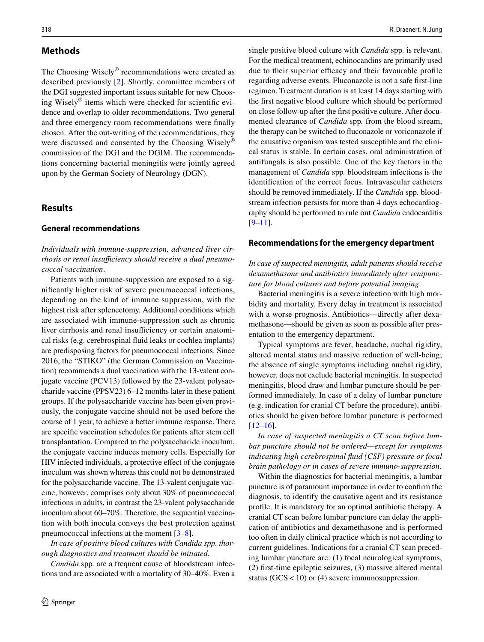## **Methods**

The Choosing Wisely® recommendations were created as described previously [[2\]](#page-3-1). Shortly, committee members of the DGI suggested important issues suitable for new Choosing Wisely® items which were checked for scientifc evidence and overlap to older recommendations. Two general and three emergency room recommendations were fnally chosen. After the out-writing of the recommendations, they were discussed and consented by the Choosing Wisely<sup>®</sup> commission of the DGI and the DGIM. The recommendations concerning bacterial meningitis were jointly agreed upon by the German Society of Neurology (DGN).

## **Results**

#### **General recommendations**

*Individuals with immune-suppression, advanced liver cir*rhosis or renal insufficiency should receive a dual pneumo*coccal vaccination*.

Patients with immune-suppression are exposed to a signifcantly higher risk of severe pneumococcal infections, depending on the kind of immune suppression, with the highest risk after splenectomy. Additional conditions which are associated with immune-suppression such as chronic liver cirrhosis and renal insufficiency or certain anatomical risks (e.g. cerebrospinal fuid leaks or cochlea implants) are predisposing factors for pneumococcal infections. Since 2016, the "STIKO" (the German Commission on Vaccination) recommends a dual vaccination with the 13-valent conjugate vaccine (PCV13) followed by the 23-valent polysaccharide vaccine (PPSV23) 6–12 months later in these patient groups. If the polysaccharide vaccine has been given previously, the conjugate vaccine should not be used before the course of 1 year, to achieve a better immune response. There are specifc vaccination schedules for patients after stem cell transplantation. Compared to the polysaccharide inoculum, the conjugate vaccine induces memory cells. Especially for HIV infected individuals, a protective efect of the conjugate inoculum was shown whereas this could not be demonstrated for the polysaccharide vaccine. The 13-valent conjugate vaccine, however, comprises only about 30% of pneumococcal infections in adults, in contrast the 23-valent polysaccharide inoculum about 60–70%. Therefore, the sequential vaccination with both inocula conveys the best protection against pneumococcal infections at the moment [\[3](#page-3-2)[–8](#page-3-3)].

*In case of positive blood cultures with Candida spp. thorough diagnostics and treatment should be initiated.*

*Candida* spp*.* are a frequent cause of bloodstream infections und are associated with a mortality of 30–40%. Even a single positive blood culture with *Candida* spp*.* is relevant. For the medical treatment, echinocandins are primarily used due to their superior efficacy and their favourable profile regarding adverse events. Fluconazole is not a safe frst-line regimen. Treatment duration is at least 14 days starting with the frst negative blood culture which should be performed on close follow-up after the frst positive culture. After documented clearance of *Candida* spp*.* from the blood stream, the therapy can be switched to fuconazole or voriconazole if the causative organism was tested susceptible and the clinical status is stable. In certain cases, oral administration of antifungals is also possible. One of the key factors in the management of *Candida* spp*.* bloodstream infections is the identifcation of the correct focus. Intravascular catheters should be removed immediately. If the *Candida* spp*.* bloodstream infection persists for more than 4 days echocardiography should be performed to rule out *Candida* endocarditis  $[9-11]$  $[9-11]$ .

#### **Recommendations for the emergency department**

*In case of suspected meningitis, adult patients should receive dexamethasone and antibiotics immediately after venipuncture for blood cultures and before potential imaging*.

Bacterial meningitis is a severe infection with high morbidity and mortality. Every delay in treatment is associated with a worse prognosis. Antibiotics—directly after dexamethasone—should be given as soon as possible after presentation to the emergency department.

Typical symptoms are fever, headache, nuchal rigidity, altered mental status and massive reduction of well-being; the absence of single symptoms including nuchal rigidity, however, does not exclude bacterial meningitis. In suspected meningitis, blood draw and lumbar puncture should be performed immediately. In case of a delay of lumbar puncture (e.g. indication for cranial CT before the procedure), antibiotics should be given before lumbar puncture is performed  $[12–16]$  $[12–16]$  $[12–16]$ .

*In case of suspected meningitis a CT scan before lumbar puncture should not be ordered—except for symptoms indicating high cerebrospinal fuid (CSF) pressure or focal brain pathology or in cases of severe immuno-suppression*.

Within the diagnostics for bacterial meningitis, a lumbar puncture is of paramount importance in order to confrm the diagnosis, to identify the causative agent and its resistance profle. It is mandatory for an optimal antibiotic therapy. A cranial CT scan before lumbar puncture can delay the application of antibiotics and dexamethasone and is performed too often in daily clinical practice which is not according to current guidelines. Indications for a cranial CT scan preceding lumbar puncture are: (1) focal neurological symptoms, (2) frst-time epileptic seizures, (3) massive altered mental status  $(GCS < 10)$  or (4) severe immunosuppression.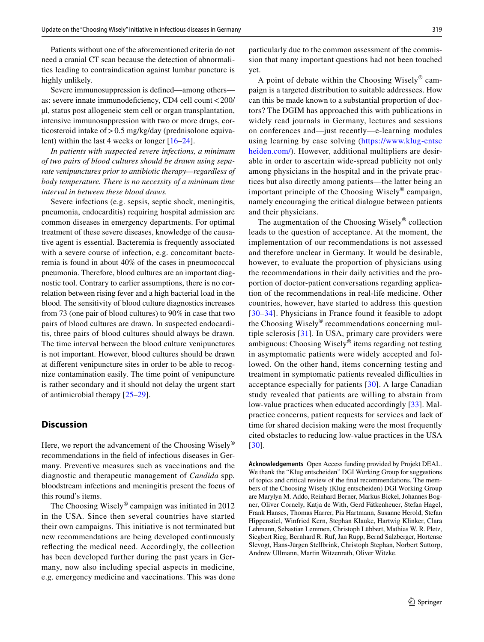Patients without one of the aforementioned criteria do not need a cranial CT scan because the detection of abnormalities leading to contraindication against lumbar puncture is highly unlikely.

Severe immunosuppression is defned—among others as: severe innate immunodefciency, CD4 cell count<200/ µl, status post allogeneic stem cell or organ transplantation, intensive immunosuppression with two or more drugs, corticosteroid intake of>0.5 mg/kg/day (prednisolone equivalent) within the last 4 weeks or longer [\[16](#page-3-7)[–24](#page-3-8)].

*In patients with suspected severe infections, a minimum of two pairs of blood cultures should be drawn using separate venipunctures prior to antibiotic therapy—regardless of body temperature. There is no necessity of a minimum time interval in between these blood draws.*

Severe infections (e.g. sepsis, septic shock, meningitis, pneumonia, endocarditis) requiring hospital admission are common diseases in emergency departments. For optimal treatment of these severe diseases, knowledge of the causative agent is essential. Bacteremia is frequently associated with a severe course of infection, e.g. concomitant bacteremia is found in about 40% of the cases in pneumococcal pneumonia. Therefore, blood cultures are an important diagnostic tool. Contrary to earlier assumptions, there is no correlation between rising fever and a high bacterial load in the blood. The sensitivity of blood culture diagnostics increases from 73 (one pair of blood cultures) to 90% in case that two pairs of blood cultures are drawn. In suspected endocarditis, three pairs of blood cultures should always be drawn. The time interval between the blood culture venipunctures is not important. However, blood cultures should be drawn at diferent venipuncture sites in order to be able to recognize contamination easily. The time point of venipuncture is rather secondary and it should not delay the urgent start of antimicrobial therapy [\[25](#page-3-9)–[29\]](#page-4-0).

## **Discussion**

Here, we report the advancement of the Choosing Wisely<sup>®</sup> recommendations in the feld of infectious diseases in Germany. Preventive measures such as vaccinations and the diagnostic and therapeutic management of *Candida* spp*.* bloodstream infections and meningitis present the focus of this round's items.

The Choosing Wisely® campaign was initiated in 2012 in the USA. Since then several countries have started their own campaigns. This initiative is not terminated but new recommendations are being developed continuously refecting the medical need. Accordingly, the collection has been developed further during the past years in Germany, now also including special aspects in medicine, e.g. emergency medicine and vaccinations. This was done

particularly due to the common assessment of the commission that many important questions had not been touched yet.

A point of debate within the Choosing Wisely $^{\circledR}$  campaign is a targeted distribution to suitable addressees. How can this be made known to a substantial proportion of doctors? The DGIM has approached this with publications in widely read journals in Germany, lectures and sessions on conferences and—just recently—e-learning modules using learning by case solving ([https://www.klug-entsc](https://www.klug-entscheiden.com/) [heiden.com/\)](https://www.klug-entscheiden.com/). However, additional multipliers are desirable in order to ascertain wide-spread publicity not only among physicians in the hospital and in the private practices but also directly among patients—the latter being an important principle of the Choosing Wisely® campaign, namely encouraging the critical dialogue between patients and their physicians.

The augmentation of the Choosing Wisely® collection leads to the question of acceptance. At the moment, the implementation of our recommendations is not assessed and therefore unclear in Germany. It would be desirable, however, to evaluate the proportion of physicians using the recommendations in their daily activities and the proportion of doctor-patient conversations regarding application of the recommendations in real-life medicine. Other countries, however, have started to address this question [[30](#page-4-1)–[34](#page-4-2)]. Physicians in France found it feasible to adopt the Choosing Wisely® recommendations concerning multiple sclerosis [[31](#page-4-3)]. In USA, primary care providers were ambiguous: Choosing Wisely® items regarding not testing in asymptomatic patients were widely accepted and followed. On the other hand, items concerning testing and treatment in symptomatic patients revealed difficulties in acceptance especially for patients [\[30\]](#page-4-1). A large Canadian study revealed that patients are willing to abstain from low-value practices when educated accordingly [[33](#page-4-4)]. Malpractice concerns, patient requests for services and lack of time for shared decision making were the most frequently cited obstacles to reducing low-value practices in the USA [[30](#page-4-1)].

**Acknowledgements** Open Access funding provided by Projekt DEAL. We thank the "Klug entscheiden" DGI Working Group for suggestions of topics and critical review of the fnal recommendations. The members of the Choosing Wisely (Klug entscheiden) DGI Working Group are Marylyn M. Addo, Reinhard Berner, Markus Bickel, Johannes Bogner, Oliver Cornely, Katja de With, Gerd Fätkenheuer, Stefan Hagel, Frank Hanses, Thomas Harrer, Pia Hartmann, Susanne Herold, Stefan Hippenstiel, Winfried Kern, Stephan Klauke, Hartwig Klinker, Clara Lehmann, Sebastian Lemmen, Christoph Lübbert, Mathias W. R. Pletz, Siegbert Rieg, Bernhard R. Ruf, Jan Rupp, Bernd Salzberger, Hortense Slevogt, Hans-Jürgen Stellbrink, Christoph Stephan, Norbert Suttorp, Andrew Ullmann, Martin Witzenrath, Oliver Witzke.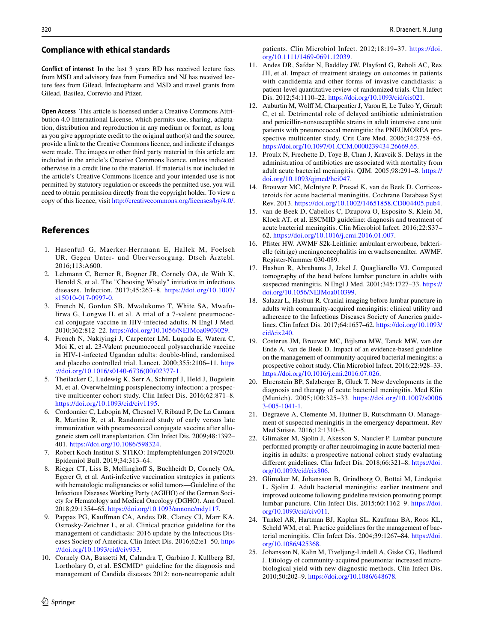#### **Compliance with ethical standards**

**Conflict of interest** In the last 3 years RD has received lecture fees from MSD and advisory fees from Eumedica and NJ has received lecture fees from Gilead, Infectopharm and MSD and travel grants from Gilead, Basilea, Correvio and Pfizer.

**Open Access** This article is licensed under a Creative Commons Attribution 4.0 International License, which permits use, sharing, adaptation, distribution and reproduction in any medium or format, as long as you give appropriate credit to the original author(s) and the source, provide a link to the Creative Commons licence, and indicate if changes were made. The images or other third party material in this article are included in the article's Creative Commons licence, unless indicated otherwise in a credit line to the material. If material is not included in the article's Creative Commons licence and your intended use is not permitted by statutory regulation or exceeds the permitted use, you will need to obtain permission directly from the copyright holder. To view a copy of this licence, visit <http://creativecommons.org/licenses/by/4.0/>.

## **References**

- <span id="page-3-0"></span>1. Hasenfuß G, Maerker-Herrmann E, Hallek M, Foelsch UR. Gegen Unter- und Überversorgung. Dtsch Ärztebl. 2016;113:A600.
- <span id="page-3-1"></span>2. Lehmann C, Berner R, Bogner JR, Cornely OA, de With K, Herold S, et al. The "Choosing Wisely" initiative in infectious diseases. Infection. 2017;45:263–8. [https://doi.org/10.1007/](https://doi.org/10.1007/s15010-017-0997-0) [s15010-017-0997-0.](https://doi.org/10.1007/s15010-017-0997-0)
- <span id="page-3-2"></span>3. French N, Gordon SB, Mwalukomo T, White SA, Mwafulirwa G, Longwe H, et al. A trial of a 7-valent pneumococcal conjugate vaccine in HIV-infected adults. N Engl J Med. 2010;362:812–22. [https://doi.org/10.1056/NEJMoa0903029.](https://doi.org/10.1056/NEJMoa0903029)
- 4. French N, Nakiyingi J, Carpenter LM, Lugada E, Watera C, Moi K, et al. 23-Valent pneumococcal polysaccharide vaccine in HIV-1-infected Ugandan adults: double-blind, randomised and placebo controlled trial. Lancet. 2000;355:2106–11. [https](https://doi.org/10.1016/s0140-6736(00)02377-1) [://doi.org/10.1016/s0140-6736\(00\)02377-1.](https://doi.org/10.1016/s0140-6736(00)02377-1)
- 5. Theilacker C, Ludewig K, Serr A, Schimpf J, Held J, Bogelein M, et al. Overwhelming postsplenectomy infection: a prospective multicenter cohort study. Clin Infect Dis. 2016;62:871–8. [https://doi.org/10.1093/cid/civ1195.](https://doi.org/10.1093/cid/civ1195)
- 6. Cordonnier C, Labopin M, Chesnel V, Ribaud P, De La Camara R, Martino R, et al. Randomized study of early versus late immunization with pneumococcal conjugate vaccine after allogeneic stem cell transplantation. Clin Infect Dis. 2009;48:1392– 401. <https://doi.org/10.1086/598324>.
- 7. Robert Koch Institut S. STIKO: Impfempfehlungen 2019/2020. Epidemiol Bull. 2019;34:313–64.
- <span id="page-3-3"></span>8. Rieger CT, Liss B, Mellinghof S, Buchheidt D, Cornely OA, Egerer G, et al. Anti-infective vaccination strategies in patients with hematologic malignancies or solid tumors—Guideline of the Infectious Diseases Working Party (AGIHO) of the German Society for Hematology and Medical Oncology (DGHO). Ann Oncol. 2018;29:1354–65. <https://doi.org/10.1093/annonc/mdy117>.
- <span id="page-3-4"></span>9. Pappas PG, Kaufman CA, Andes DR, Clancy CJ, Marr KA, Ostrosky-Zeichner L, et al. Clinical practice guideline for the management of candidiasis: 2016 update by the Infectious Diseases Society of America. Clin Infect Dis. 2016;62:e1–50. [https](https://doi.org/10.1093/cid/civ933) [://doi.org/10.1093/cid/civ933](https://doi.org/10.1093/cid/civ933).
- 10. Cornely OA, Bassetti M, Calandra T, Garbino J, Kullberg BJ, Lortholary O, et al. ESCMID\* guideline for the diagnosis and management of Candida diseases 2012: non-neutropenic adult

patients. Clin Microbiol Infect. 2012;18:19–37. [https://doi.](https://doi.org/10.1111/1469-0691.12039) [org/10.1111/1469-0691.12039](https://doi.org/10.1111/1469-0691.12039).

- <span id="page-3-5"></span>11. Andes DR, Safdar N, Baddley JW, Playford G, Reboli AC, Rex JH, et al. Impact of treatment strategy on outcomes in patients with candidemia and other forms of invasive candidiasis: a patient-level quantitative review of randomized trials. Clin Infect Dis. 2012;54:1110–22. [https://doi.org/10.1093/cid/cis021.](https://doi.org/10.1093/cid/cis021)
- <span id="page-3-6"></span>12. Auburtin M, Wolff M, Charpentier J, Varon E, Le Tulzo Y, Girault C, et al. Detrimental role of delayed antibiotic administration and penicillin-nonsusceptible strains in adult intensive care unit patients with pneumococcal meningitis: the PNEUMOREA prospective multicenter study. Crit Care Med. 2006;34:2758–65. [https://doi.org/10.1097/01.CCM.0000239434.26669.65.](https://doi.org/10.1097/01.CCM.0000239434.26669.65)
- 13. Proulx N, Frechette D, Toye B, Chan J, Kravcik S. Delays in the administration of antibiotics are associated with mortality from adult acute bacterial meningitis. QJM. 2005;98:291–8. [https://](https://doi.org/10.1093/qjmed/hci047) [doi.org/10.1093/qjmed/hci047.](https://doi.org/10.1093/qjmed/hci047)
- 14. Brouwer MC, McIntyre P, Prasad K, van de Beek D. Corticosteroids for acute bacterial meningitis. Cochrane Database Syst Rev. 2013. [https://doi.org/10.1002/14651858.CD004405.pub4.](https://doi.org/10.1002/14651858.CD004405.pub4)
- 15. van de Beek D, Cabellos C, Dzupova O, Esposito S, Klein M, Kloek AT, et al. ESCMID guideline: diagnosis and treatment of acute bacterial meningitis. Clin Microbiol Infect. 2016;22:S37– 62.<https://doi.org/10.1016/j.cmi.2016.01.007>.
- <span id="page-3-7"></span>16. Pfster HW. AWMF S2k-Leitlinie: ambulant erworbene, bakterielle (eitrige) meningoencephalitis im erwachsenenalter. AWMF. Register-Nummer 030-089.
- 17. Hasbun R, Abrahams J, Jekel J, Quagliarello VJ. Computed tomography of the head before lumbar puncture in adults with suspected meningitis. N Engl J Med. 2001;345:1727–33. [https://](https://doi.org/10.1056/NEJMoa010399) [doi.org/10.1056/NEJMoa010399](https://doi.org/10.1056/NEJMoa010399).
- 18. Salazar L, Hasbun R. Cranial imaging before lumbar puncture in adults with community-acquired meningitis: clinical utility and adherence to the Infectious Diseases Society of America guidelines. Clin Infect Dis. 2017;64:1657–62. [https://doi.org/10.1093/](https://doi.org/10.1093/cid/cix240) [cid/cix240](https://doi.org/10.1093/cid/cix240).
- 19. Costerus JM, Brouwer MC, Bijlsma MW, Tanck MW, van der Ende A, van de Beek D. Impact of an evidence-based guideline on the management of community-acquired bacterial meningitis: a prospective cohort study. Clin Microbiol Infect. 2016;22:928–33. [https://doi.org/10.1016/j.cmi.2016.07.026.](https://doi.org/10.1016/j.cmi.2016.07.026)
- 20. Ehrenstein BP, Salzberger B, Gluck T. New developments in the diagnosis and therapy of acute bacterial meningitis. Med Klin (Munich). 2005;100:325–33. [https://doi.org/10.1007/s0006](https://doi.org/10.1007/s00063-005-1041-1) [3-005-1041-1](https://doi.org/10.1007/s00063-005-1041-1).
- 21. Degraeve A, Clemente M, Huttner B, Rutschmann O. Management of suspected meningitis in the emergency department. Rev Med Suisse. 2016;12:1310–5.
- 22. Glimaker M, Sjolin J, Akesson S, Naucler P. Lumbar puncture performed promptly or after neuroimaging in acute bacterial meningitis in adults: a prospective national cohort study evaluating diferent guidelines. Clin Infect Dis. 2018;66:321–8. [https://doi.](https://doi.org/10.1093/cid/cix806) [org/10.1093/cid/cix806.](https://doi.org/10.1093/cid/cix806)
- 23. Glimaker M, Johansson B, Grindborg O, Bottai M, Lindquist L, Sjolin J. Adult bacterial meningitis: earlier treatment and improved outcome following guideline revision promoting prompt lumbar puncture. Clin Infect Dis. 2015;60:1162–9. [https://doi.](https://doi.org/10.1093/cid/civ011) [org/10.1093/cid/civ011.](https://doi.org/10.1093/cid/civ011)
- <span id="page-3-8"></span>24. Tunkel AR, Hartman BJ, Kaplan SL, Kaufman BA, Roos KL, Scheld WM, et al. Practice guidelines for the management of bacterial meningitis. Clin Infect Dis. 2004;39:1267–84. [https://doi.](https://doi.org/10.1086/425368) [org/10.1086/425368.](https://doi.org/10.1086/425368)
- <span id="page-3-9"></span>25. Johansson N, Kalin M, Tiveljung-Lindell A, Giske CG, Hedlund J. Etiology of community-acquired pneumonia: increased microbiological yield with new diagnostic methods. Clin Infect Dis. 2010;50:202–9.<https://doi.org/10.1086/648678>.